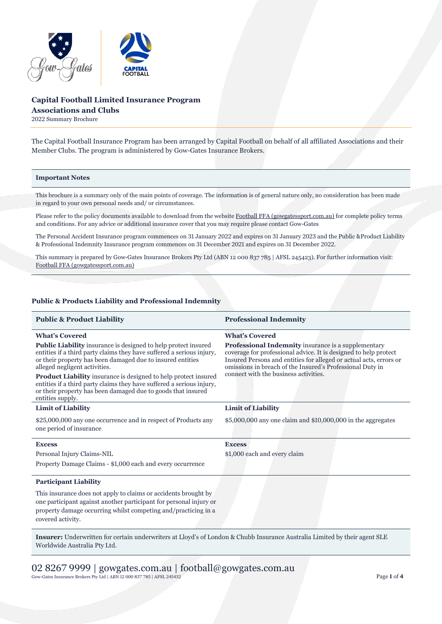

# **Capital Football Limited Insurance Program Associations and Clubs**

2022 Summary Brochure

The Capital Football Insurance Program has been arranged by Capital Football on behalf of all affiliated Associations and their Member Clubs. The program is administered by Gow-Gates Insurance Brokers.

#### **Important Notes**

This brochure is a summary only of the main points of coverage. The information is of general nature only, no consideration has been made in regard to your own personal needs and/ or circumstances.

Please refer to the policy documents available to download from the websit[e Football FFA \(gowgatessport.com.au\)](https://football.gowgatessport.com.au/) for complete policy terms and conditions. For any advice or additional insurance cover that you may require please contact Gow-Gates

The Personal Accident Insurance program commences on 31 January 2022 and expires on 31 January 2023 and the Public &Product Liability & Professional Indemnity Insurance program commences on 31 December 2021 and expires on 31 December 2022.

This summary is prepared by Gow-Gates Insurance Brokers Pty Ltd (ABN 12 000 837 785 | AFSL 245423). For further information visit: [Football FFA \(gowgatessport.com.au\)](https://football.gowgatessport.com.au/)

# **Public & Products Liability and Professional Indemnity**

| <b>Public &amp; Product Liability</b>                                                                                                                                                                                                         | <b>Professional Indemnity</b>                                                                                                                                                                                                                                                                              |
|-----------------------------------------------------------------------------------------------------------------------------------------------------------------------------------------------------------------------------------------------|------------------------------------------------------------------------------------------------------------------------------------------------------------------------------------------------------------------------------------------------------------------------------------------------------------|
| <b>What's Covered</b>                                                                                                                                                                                                                         | <b>What's Covered</b>                                                                                                                                                                                                                                                                                      |
| <b>Public Liability</b> insurance is designed to help protect insured<br>entities if a third party claims they have suffered a serious injury,<br>or their property has been damaged due to insured entities<br>alleged negligent activities. | <b>Professional Indemnity</b> insurance is a supplementary<br>coverage for professional advice. It is designed to help protect<br>Insured Persons and entities for alleged or actual acts, errors or<br>omissions in breach of the Insured's Professional Duty in<br>connect with the business activities. |
| Product Liability insurance is designed to help protect insured<br>entities if a third party claims they have suffered a serious injury,<br>or their property has been damaged due to goods that insured<br>entities supply.                  |                                                                                                                                                                                                                                                                                                            |
| <b>Limit of Liability</b>                                                                                                                                                                                                                     | <b>Limit of Liability</b>                                                                                                                                                                                                                                                                                  |
| \$25,000,000 any one occurrence and in respect of Products any<br>one period of insurance                                                                                                                                                     | $$5,000,000$ any one claim and $$10,000,000$ in the aggregates                                                                                                                                                                                                                                             |
| <b>Excess</b>                                                                                                                                                                                                                                 | <b>Excess</b>                                                                                                                                                                                                                                                                                              |
| Personal Injury Claims-NIL                                                                                                                                                                                                                    | \$1,000 each and every claim                                                                                                                                                                                                                                                                               |
| Property Damage Claims - \$1,000 each and every occurrence                                                                                                                                                                                    |                                                                                                                                                                                                                                                                                                            |
| <b>Participant Liability</b>                                                                                                                                                                                                                  |                                                                                                                                                                                                                                                                                                            |
| This insurance does not apply to claims or accidents brought by<br>one participant against another participant for personal injury or<br>property damage occurring whilst competing and/practicing in a<br>covered activity.                  |                                                                                                                                                                                                                                                                                                            |

**Insurer:** Underwritten for certain underwriters at Lloyd's of London & Chubb Insurance Australia Limited by their agent SLE Worldwide Australia Pty Ltd.

# 02 8267 9999 | gowgates.com.au | football@gowgates.com.au Gow-Gates Insurance Brokers Pty Ltd | ABN 12 000 837 785 | AFSL 245432 Page 1 of 4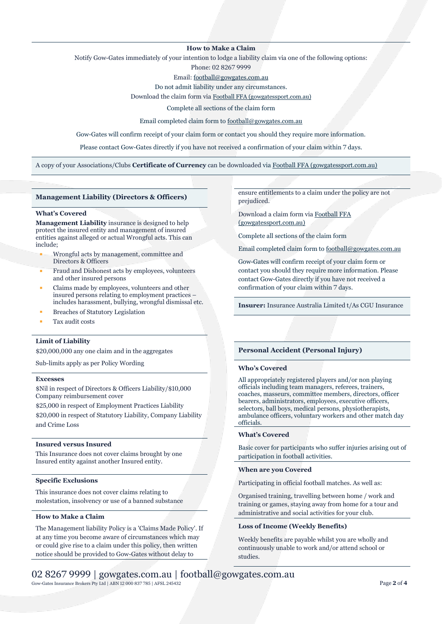### **How to Make a Claim**

Notify Gow-Gates immediately of your intention to lodge a liability claim via one of the following options:

Phone: 02 8267 9999

Email[: football@gowgates.com.au](mailto:football@gowgates.com.au)

Do not admit liability under any circumstances.

Download the claim form via [Football FFA \(gowgatessport.com.au\)](https://football.gowgatessport.com.au/)

Complete all sections of the claim form

Email completed claim form t[o football@gowgates.com.au](mailto:football@gowgates.com.au)

Gow-Gates will confirm receipt of your claim form or contact you should they require more information.

Please contact Gow-Gates directly if you have not received a confirmation of your claim within 7 days.

A copy of your Associations/Clubs **Certificate of Currency** can be downloaded via [Football FFA \(gowgatessport.com.au\)](https://football.gowgatessport.com.au/)

#### **Management Liability (Directors & Officers)**

#### **What's Covered**

**Management Liability** insurance is designed to help protect the insured entity and management of insured entities against alleged or actual Wrongful acts. This can include;

- Wrongful acts by management, committee and Directors & Officers
- Fraud and Dishonest acts by employees, volunteers and other insured persons
- Claims made by employees, volunteers and other insured persons relating to employment practices – includes harassment, bullying, wrongful dismissal etc.
- **Breaches of Statutory Legislation**
- Tax audit costs

# **Limit of Liability**

\$20,000,000 any one claim and in the aggregates

Sub-limits apply as per Policy Wording

# **Excesses**

\$Nil in respect of Directors & Officers Liability/\$10,000 Company reimbursement cover

\$25,000 in respect of Employment Practices Liability

\$20,000 in respect of Statutory Liability, Company Liability and Crime Loss

#### **Insured versus Insured**

This Insurance does not cover claims brought by one Insured entity against another Insured entity.

#### **Specific Exclusions**

This insurance does not cover claims relating to molestation, insolvency or use of a banned substance

## **How to Make a Claim**

The Management liability Policy is a 'Claims Made Policy'. If at any time you become aware of circumstances which may or could give rise to a claim under this policy, then written notice should be provided to Gow-Gates without delay to

ensure entitlements to a claim under the policy are not prejudiced.

Download a claim form via [Football FFA](https://football.gowgatessport.com.au/)  [\(gowgatessport.com.au\)](https://football.gowgatessport.com.au/)

Complete all sections of the claim form

Email completed claim form t[o football@gowgates.com.au](mailto:football@gowgates.com.au)

Gow-Gates will confirm receipt of your claim form or contact you should they require more information. Please contact Gow-Gates directly if you have not received a confirmation of your claim within 7 days.

**Insurer:** Insurance Australia Limited t/As CGU Insurance

### **Personal Accident (Personal Injury)**

#### **Who's Covered**

All appropriately registered players and/or non playing officials including team managers, referees, trainers, coaches, masseurs, committee members, directors, officer bearers, administrators, employees, executive officers, selectors, ball boys, medical persons, physiotherapists, ambulance officers, voluntary workers and other match day officials.

#### **What's Covered**

Basic cover for participants who suffer injuries arising out of participation in football activities.

#### **When are you Covered**

Participating in official football matches. As well as:

Organised training, travelling between home / work and training or games, staying away from home for a tour and administrative and social activities for your club.

#### **Loss of Income (Weekly Benefits)**

Weekly benefits are payable whilst you are wholly and continuously unable to work and/or attend school or studies.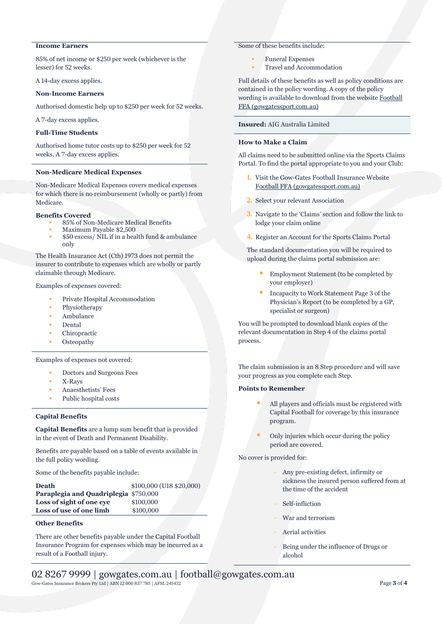# **Income Earners**

85% of net income or \$250 per week (whichever is the lesser) for 52 weeks.

A 14-day excess applies.

### **Non-Income Earners**

Authorised domestic help up to \$250 per week for 52 weeks.

A 7-day excess applies.

# **Full-Time Students**

Authorised home tutor costs up to \$250 per week for 52 weeks. A 7-day excess applies.

#### **Non-Medicare Medical Expenses**

Non-Medicare Medical Expenses covers medical expenses for which there is no reimbursement (wholly or partly) from Medicare.

#### **Benefits Covered**

- 85% of Non-Medicare Medical Benefits
- Maximum Payable \$2,500
- \$50 excess/ NIL if in a health fund & ambulance only

The Health Insurance Act (Cth) 1973 does not permit the insurer to contribute to expenses which are wholly or partly claimable through Medicare.

Examples of expenses covered:

- Private Hospital Accommodation
- Physiotherapy
- Ambulance
- Dental
- Chiropractic
- **Osteopathy**

Examples of expenses not covered:

- Doctors and Surgeons Fees
- X-Rays
- Anaesthetists' Fees
- Public hospital costs

# **Capital Benefits**

**Capital Benefits** are a lump sum benefit that is provided in the event of Death and Permanent Disability.

Benefits are payable based on a table of events available in the full policy wording.

Some of the benefits payable include:

| <b>Death</b>                          | \$100,000 (U18 \$20,000) |
|---------------------------------------|--------------------------|
| Paraplegia and Quadriplegia \$750,000 |                          |
| Loss of sight of one eye              | \$100,000                |
| Loss of use of one limb               | \$100,000                |
|                                       |                          |

# **Other Benefits**

There are other benefits payable under the Capital Football Insurance Program for expenses which may be incurred as a result of a Football injury.

# Some of these benefits include:

- **Funeral Expenses**
- Travel and Accommodation

Full details of these benefits as well as policy conditions are contained in the policy wording. A copy of the policy wording is available to download from the website [Football](https://football.gowgatessport.com.au/)  [FFA \(gowgatessport.com.au\)](https://football.gowgatessport.com.au/)

### **Insured:** AIG Australia Limited

# **How to Make a Claim**

All claims need to be submitted online via the Sports Claims Portal. To find the portal appropriate to you and your Club:

- **1.** Visit the Gow-Gates Football Insurance Website [Football FFA \(gowgatessport.com.au\)](https://football.gowgatessport.com.au/)
- **2.** Select your relevant Association
- **3.** Navigate to the 'Claims' section and follow the link to lodge your claim online
- **4.** Register an Account for the Sports Claims Portal

The standard documentation you will be required to upload during the claims portal submission are:

- Employment Statement (to be completed by your employer)
- Incapacity to Work Statement Page 3 of the Physician's Report (to be completed by a GP, specialist or surgeon)

You will be prompted to download blank copies of the relevant documentation in Step 4 of the claims portal process.

The claim submission is an 8 Step procedure and will save your progress as you complete each Step.

#### **Points to Remember**

- All players and officials must be registered with Capital Football for coverage by this insurance program.
- Only injuries which occur during the policy period are covered.

No cover is provided for:

- Any pre-existing defect, infirmity or sickness the insured person suffered from at the time of the accident
- Self-infliction
- War and terrorism
- Aerial activities
- Being under the influence of Drugs or alcohol